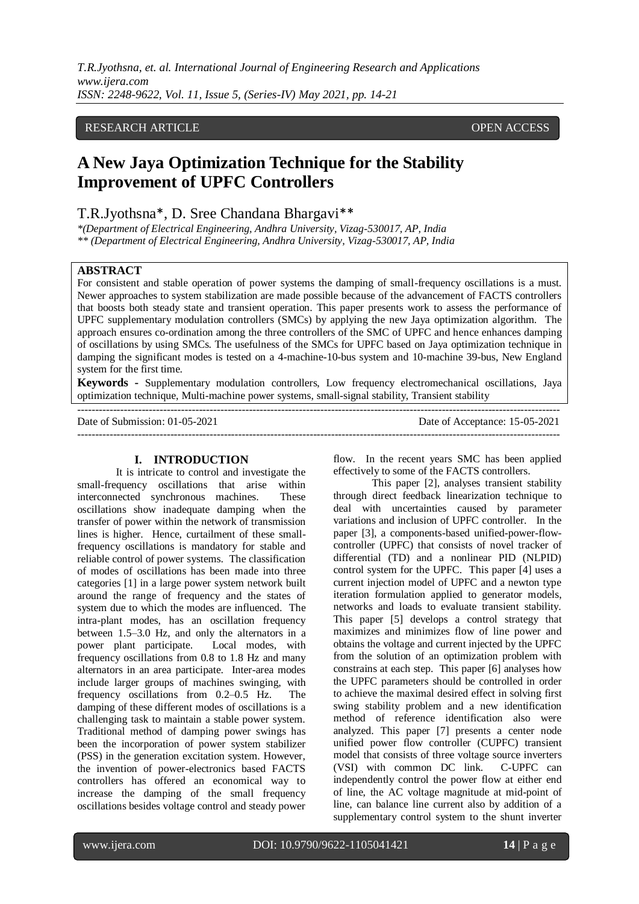## RESEARCH ARTICLE OPEN ACCESS

# **A New Jaya Optimization Technique for the Stability Improvement of UPFC Controllers**

# T.R.Jyothsna\*, D. Sree Chandana Bhargavi\*\*

*\*(Department of Electrical Engineering, Andhra University, Vizag-530017, AP, India \*\* (Department of Electrical Engineering, Andhra University, Vizag-530017, AP, India*

#### **ABSTRACT**

For consistent and stable operation of power systems the damping of small-frequency oscillations is a must. Newer approaches to system stabilization are made possible because of the advancement of FACTS controllers that boosts both steady state and transient operation. This paper presents work to assess the performance of UPFC supplementary modulation controllers (SMCs) by applying the new Jaya optimization algorithm. The approach ensures co-ordination among the three controllers of the SMC of UPFC and hence enhances damping of oscillations by using SMCs. The usefulness of the SMCs for UPFC based on Jaya optimization technique in damping the significant modes is tested on a 4-machine-10-bus system and 10-machine 39-bus, New England system for the first time.

**Keywords -** Supplementary modulation controllers, Low frequency electromechanical oscillations, Jaya optimization technique, Multi-machine power systems, small-signal stability, Transient stability ---------------------------------------------------------------------------------------------------------------------------------------

---------------------------------------------------------------------------------------------------------------------------------------

Date of Submission: 01-05-2021 Date of Acceptance: 15-05-2021

#### **I. INTRODUCTION**

It is intricate to control and investigate the small-frequency oscillations that arise within interconnected synchronous machines. These oscillations show inadequate damping when the transfer of power within the network of transmission lines is higher. Hence, curtailment of these smallfrequency oscillations is mandatory for stable and reliable control of power systems. The classification of modes of oscillations has been made into three categories [1] in a large power system network built around the range of frequency and the states of system due to which the modes are influenced. The intra-plant modes, has an oscillation frequency between 1.5–3.0 Hz, and only the alternators in a power plant participate. Local modes, with power plant participate. frequency oscillations from 0.8 to 1.8 Hz and many alternators in an area participate. Inter-area modes include larger groups of machines swinging, with frequency oscillations from 0.2–0.5 Hz. The damping of these different modes of oscillations is a challenging task to maintain a stable power system. Traditional method of damping power swings has been the incorporation of power system stabilizer (PSS) in the generation excitation system. However, the invention of power-electronics based FACTS controllers has offered an economical way to increase the damping of the small frequency oscillations besides voltage control and steady power

flow. In the recent years SMC has been applied effectively to some of the FACTS controllers.

This paper [2], analyses transient stability through direct feedback linearization technique to deal with uncertainties caused by parameter variations and inclusion of UPFC controller. In the paper [3], a components-based unified-power-flowcontroller (UPFC) that consists of novel tracker of differential (TD) and a nonlinear PID (NLPID) control system for the UPFC. This paper [4] uses a current injection model of UPFC and a newton type iteration formulation applied to generator models, networks and loads to evaluate transient stability. This paper [5] develops a control strategy that maximizes and minimizes flow of line power and obtains the voltage and current injected by the UPFC from the solution of an optimization problem with constrains at each step. This paper [6] analyses how the UPFC parameters should be controlled in order to achieve the maximal desired effect in solving first swing stability problem and a new identification method of reference identification also were analyzed. This paper [7] presents a center node unified power flow controller (CUPFC) transient model that consists of three voltage source inverters (VSI) with common DC link. C-UPFC can independently control the power flow at either end of line, the AC voltage magnitude at mid-point of line, can balance line current also by addition of a supplementary control system to the shunt inverter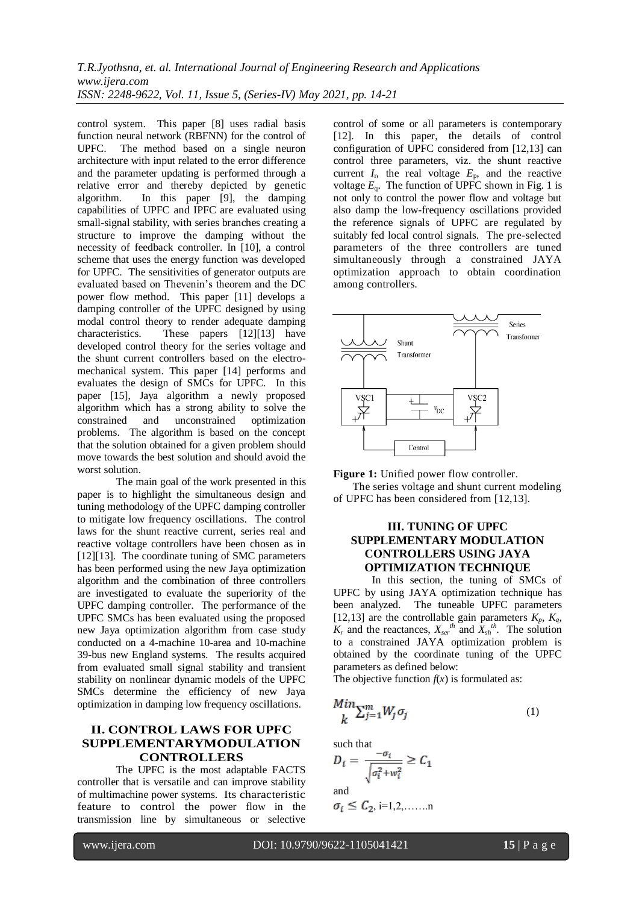control system. This paper [8] uses radial basis function neural network (RBFNN) for the control of UPFC. The method based on a single neuron architecture with input related to the error difference and the parameter updating is performed through a relative error and thereby depicted by genetic algorithm. In this paper [9], the damping capabilities of UPFC and IPFC are evaluated using small-signal stability, with series branches creating a structure to improve the damping without the necessity of feedback controller. In [10], a control scheme that uses the energy function was developed for UPFC. The sensitivities of generator outputs are evaluated based on Thevenin's theorem and the DC power flow method. This paper [11] develops a damping controller of the UPFC designed by using modal control theory to render adequate damping characteristics. These papers [12][13] have developed control theory for the series voltage and the shunt current controllers based on the electromechanical system. This paper [14] performs and evaluates the design of SMCs for UPFC. In this paper [15], Jaya algorithm a newly proposed algorithm which has a strong ability to solve the constrained and unconstrained optimization problems. The algorithm is based on the concept that the solution obtained for a given problem should move towards the best solution and should avoid the worst solution.

The main goal of the work presented in this paper is to highlight the simultaneous design and tuning methodology of the UPFC damping controller to mitigate low frequency oscillations. The control laws for the shunt reactive current, series real and reactive voltage controllers have been chosen as in [12][13]. The coordinate tuning of SMC parameters has been performed using the new Jaya optimization algorithm and the combination of three controllers are investigated to evaluate the superiority of the UPFC damping controller. The performance of the UPFC SMCs has been evaluated using the proposed new Jaya optimization algorithm from case study conducted on a 4-machine 10-area and 10-machine 39-bus new England systems. The results acquired from evaluated small signal stability and transient stability on nonlinear dynamic models of the UPFC SMCs determine the efficiency of new Jaya optimization in damping low frequency oscillations.

# **II. CONTROL LAWS FOR UPFC SUPPLEMENTARYMODULATION CONTROLLERS**

 The UPFC is the most adaptable FACTS controller that is versatile and can improve stability of multimachine power systems. Its characteristic feature to control the power flow in the transmission line by simultaneous or selective control of some or all parameters is contemporary [12]. In this paper, the details of control configuration of UPFC considered from [12,13] can control three parameters, viz. the shunt reactive current  $I_r$ , the real voltage  $E_p$ , and the reactive voltage  $E_q$ . The function of UPFC shown in Fig. 1 is not only to control the power flow and voltage but also damp the low-frequency oscillations provided the reference signals of UPFC are regulated by suitably fed local control signals. The pre-selected parameters of the three controllers are tuned simultaneously through a constrained JAYA optimization approach to obtain coordination among controllers.



**Figure 1:** Unified power flow controller.

The series voltage and shunt current modeling of UPFC has been considered from [12,13].

# **III. TUNING OF UPFC SUPPLEMENTARY MODULATION CONTROLLERS USING JAYA OPTIMIZATION TECHNIQUE**

In this section, the tuning of SMCs of UPFC by using JAYA optimization technique has been analyzed. The tuneable UPFC parameters [12,13] are the controllable gain parameters  $K_p$ ,  $K_q$ ,  $K_r$  and the reactances,  $X_{ser}^{th}$  and  $\overline{X_{sh}}^{th}$ . The solution to a constrained JAYA optimization problem is obtained by the coordinate tuning of the UPFC parameters as defined below:

The objective function  $f(x)$  is formulated as:

$$
\frac{Min}{k} \sum_{j=1}^{m} W_j \sigma_j \tag{1}
$$

such that

$$
D_i = \frac{-\sigma_i}{\sqrt{\sigma_i^2 + w_i^2}} \ge C_1
$$
  
and  

$$
\sigma_i \le C_2
$$
, i=1,2,......n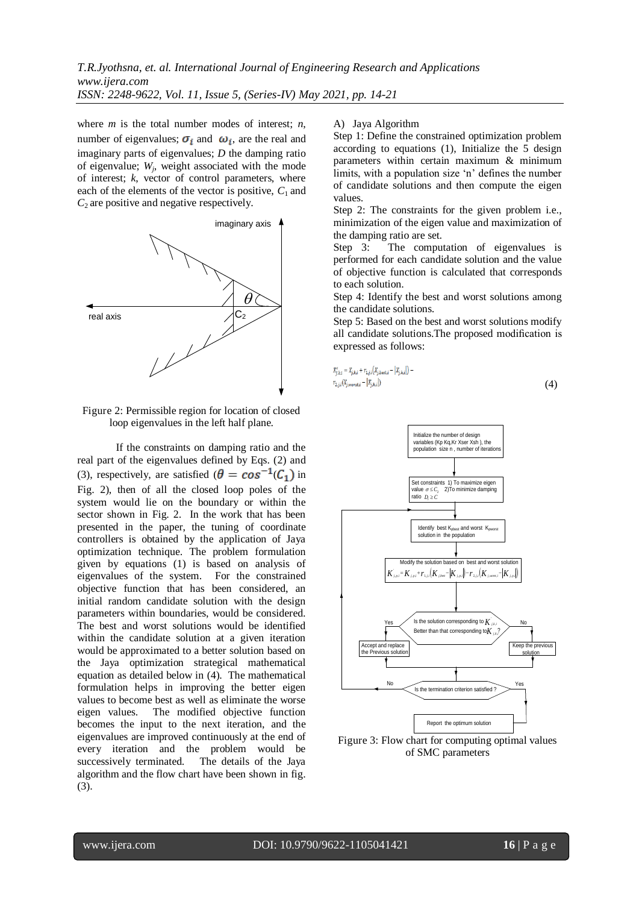where *m* is the total number modes of interest; *n*, number of eigenvalues;  $\sigma_i$  and  $\omega_i$ , are the real and imaginary parts of eigenvalues; *D* the damping ratio of eigenvalue;  $W_j$ , weight associated with the mode of interest; *k*, vector of control parameters, where each of the elements of the vector is positive,  $C_1$  and *C*2 are positive and negative respectively.



Figure 2: Permissible region for location of closed loop eigenvalues in the left half plane.

If the constraints on damping ratio and the real part of the eigenvalues defined by Eqs. (2) and (3), respectively, are satisfied  $(\theta = \cos^{-1}(C_1))$  in Fig. 2), then of all the closed loop poles of the system would lie on the boundary or within the sector shown in Fig. 2. In the work that has been presented in the paper, the tuning of coordinate controllers is obtained by the application of Jaya optimization technique. The problem formulation given by equations (1) is based on analysis of eigenvalues of the system. For the constrained objective function that has been considered, an initial random candidate solution with the design parameters within boundaries, would be considered. The best and worst solutions would be identified within the candidate solution at a given iteration would be approximated to a better solution based on the Jaya optimization strategical mathematical equation as detailed below in (4). The mathematical formulation helps in improving the better eigen values to become best as well as eliminate the worse eigen values. The modified objective function becomes the input to the next iteration, and the eigenvalues are improved continuously at the end of every iteration and the problem would be successively terminated. The details of the Jaya algorithm and the flow chart have been shown in fig. (3).

#### A) Jaya Algorithm

Step 1: Define the constrained optimization problem according to equations (1), Initialize the 5 design parameters within certain maximum & minimum limits, with a population size 'n' defines the number of candidate solutions and then compute the eigen values.

Step 2: The constraints for the given problem i.e., minimization of the eigen value and maximization of the damping ratio are set.

Step 3: The computation of eigenvalues is performed for each candidate solution and the value of objective function is calculated that corresponds to each solution.

the candidate solutions.

Step 5: Based on the best and worst solutions modify all candidate solutions.The proposed modification is expressed as follows:

$$
X'_{j,k,i} = X_{j,k,i} + r_{1,j,i}(X_{j,best,i} - |X_{j,k,i}|) -
$$
  
\n
$$
r_{2,j,i}(X_{j,worst,i} - |X_{j,k,i}|)
$$
 (4)



Figure 3: Flow chart for computing optimal values of SMC parameters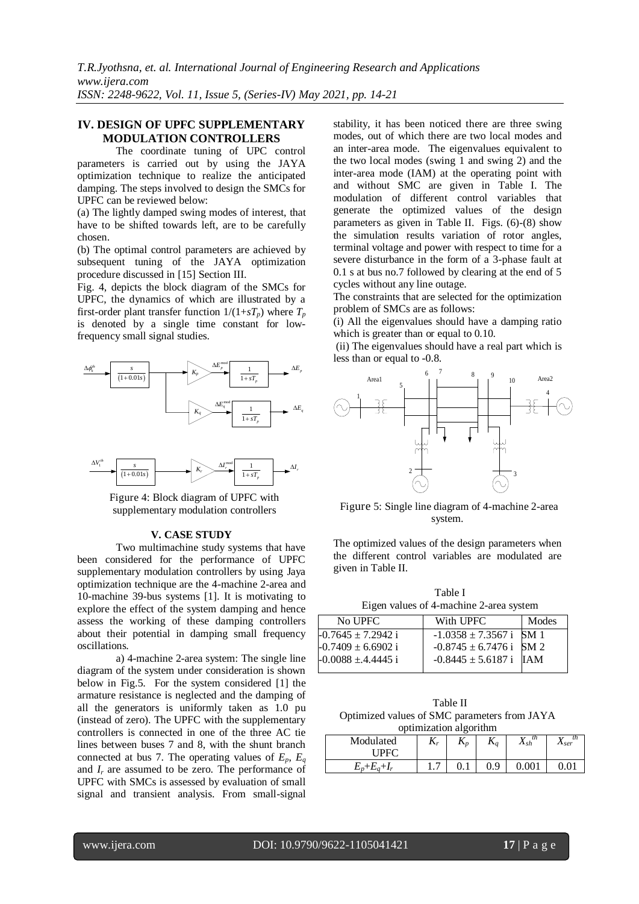## **IV. DESIGN OF UPFC SUPPLEMENTARY MODULATION CONTROLLERS**

 The coordinate tuning of UPC control parameters is carried out by using the JAYA optimization technique to realize the anticipated damping. The steps involved to design the SMCs for UPFC can be reviewed below:

(a) The lightly damped swing modes of interest, that have to be shifted towards left, are to be carefully chosen.

(b) The optimal control parameters are achieved by subsequent tuning of the JAYA optimization procedure discussed in [15] Section III.

Fig. 4, depicts the block diagram of the SMCs for UPFC, the dynamics of which are illustrated by a first-order plant transfer function  $1/(1+sT_p)$  where  $T_p$ is denoted by a single time constant for lowfrequency small signal studies.





Figure 4: Block diagram of UPFC with supplementary modulation controllers

## **V. CASE STUDY**

Two multimachine study systems that have been considered for the performance of UPFC supplementary modulation controllers by using Jaya optimization technique are the 4-machine 2-area and 10-machine 39-bus systems [1]. It is motivating to explore the effect of the system damping and hence assess the working of these damping controllers about their potential in damping small frequency oscillations.

a) 4-machine 2-area system: The single line diagram of the system under consideration is shown below in Fig.5. For the system considered [1] the armature resistance is neglected and the damping of all the generators is uniformly taken as 1.0 pu (instead of zero). The UPFC with the supplementary controllers is connected in one of the three AC tie lines between buses 7 and 8, with the shunt branch connected at bus 7. The operating values of  $E_p$ ,  $E_q$ and  $I_r$  are assumed to be zero. The performance of UPFC with SMCs is assessed by evaluation of small signal and transient analysis. From small-signal

stability, it has been noticed there are three swing modes, out of which there are two local modes and an inter-area mode. The eigenvalues equivalent to the two local modes (swing 1 and swing 2) and the inter-area mode (IAM) at the operating point with and without SMC are given in Table I. The modulation of different control variables that generate the optimized values of the design parameters as given in Table II. Figs. (6)-(8) show the simulation results variation of rotor angles, terminal voltage and power with respect to time for a severe disturbance in the form of a 3-phase fault at 0.1 s at bus no.7 followed by clearing at the end of 5 cycles without any line outage.

The constraints that are selected for the optimization problem of SMCs are as follows:

(i) All the eigenvalues should have a damping ratio which is greater than or equal to 0.10.

(ii) The eigenvalues should have a real part which is less than or equal to -0.8.



Figure 5: Single line diagram of 4-machine 2-area system.

The optimized values of the design parameters when the different control variables are modulated are given in Table II.

Table I Eigen values of 4-machine 2-area system

| Modes                       |
|-----------------------------|
| $-1.0358 \pm 7.3567$ i SM 1 |
| $-0.8745 \pm 6.7476$ i SM 2 |
| $-0.8445 \pm 5.6187$ i IAM  |
|                             |

Table II Optimized values of SMC parameters from JAYA optimization algorithm

| --<br>.               |              |                |                      |                                |                                    |  |  |  |  |
|-----------------------|--------------|----------------|----------------------|--------------------------------|------------------------------------|--|--|--|--|
| Modulated<br>TPFC.    | $\mathbf{r}$ | $\mathbf{r}_n$ | 17<br>$\mathbf{r}_a$ | th<br>$\mathbf{v}$<br>$A_{sh}$ | th<br>T7<br>$\Lambda_{\text{S}er}$ |  |  |  |  |
| $E_p + E_a$<br>$+I_r$ |              | v. I           | 0.9                  | . റവ                           |                                    |  |  |  |  |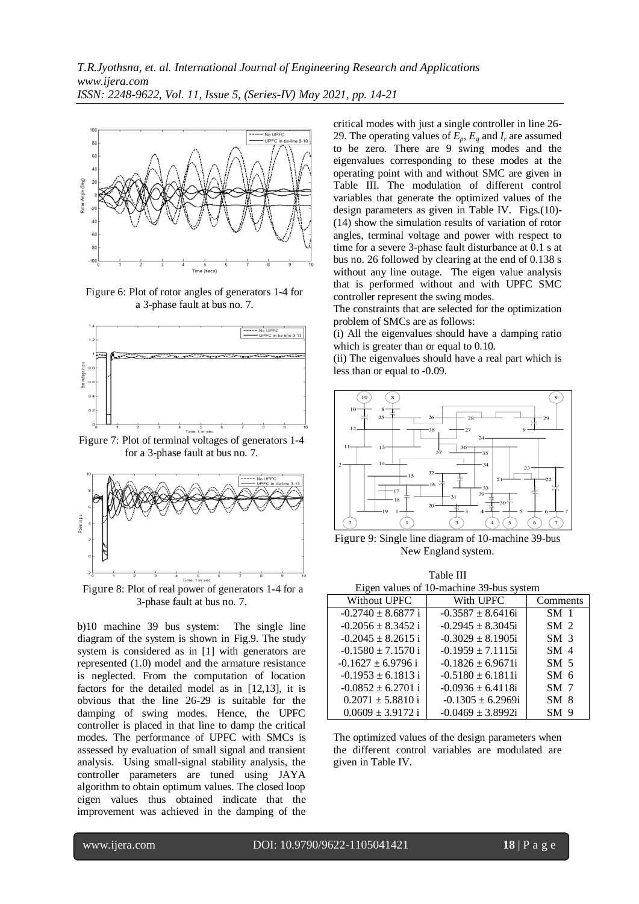

Figure 6: Plot of rotor angles of generators 1-4 for a 3-phase fault at bus no. 7.



Figure 7: Plot of terminal voltages of generators 1-4 for a 3-phase fault at bus no. 7.



Figure 8: Plot of real power of generators 1-4 for a 3-phase fault at bus no. 7.

b)10 machine 39 bus system: The single line diagram of the system is shown in Fig.9. The study system is considered as in [1] with generators are represented (1.0) model and the armature resistance is neglected. From the computation of location factors for the detailed model as in [12,13], it is obvious that the line 26-29 is suitable for the damping of swing modes. Hence, the UPFC controller is placed in that line to damp the critical modes. The performance of UPFC with SMCs is assessed by evaluation of small signal and transient analysis. Using small-signal stability analysis, the controller parameters are tuned using JAYA algorithm to obtain optimum values. The closed loop eigen values thus obtained indicate that the improvement was achieved in the damping of the

critical modes with just a single controller in line 26- 29. The operating values of  $E_p$ ,  $E_q$  and  $I_r$  are assumed to be zero. There are 9 swing modes and the eigenvalues corresponding to these modes at the operating point with and without SMC are given in Table III. The modulation of different control variables that generate the optimized values of the design parameters as given in Table IV. Figs.(10)- (14) show the simulation results of variation of rotor angles, terminal voltage and power with respect to time for a severe 3-phase fault disturbance at 0.1 s at bus no. 26 followed by clearing at the end of 0.138 s without any line outage. The eigen value analysis that is performed without and with UPFC SMC controller represent the swing modes.

The constraints that are selected for the optimization problem of SMCs are as follows:

(i) All the eigenvalues should have a damping ratio which is greater than or equal to 0.10.

(ii) The eigenvalues should have a real part which is less than or equal to -0.09.



Figure 9: Single line diagram of 10-machine 39-bus New England system.

maa <del>in</del>

| Table III                                |                        |                 |  |  |  |  |  |
|------------------------------------------|------------------------|-----------------|--|--|--|--|--|
| Eigen values of 10-machine 39-bus system |                        |                 |  |  |  |  |  |
| Without UPFC                             | With UPFC              | Comments        |  |  |  |  |  |
| $-0.2740 \pm 8.6877$ i                   | $-0.3587 \pm 8.6416i$  | SM <sub>1</sub> |  |  |  |  |  |
| $-0.2056 \pm 8.3452$ i                   | $-0.2945 + 8.3045i$    | SM <sub>2</sub> |  |  |  |  |  |
| $-0.2045 \pm 8.2615$ i                   | $-0.3029 \pm 8.1905$ i | SM <sub>3</sub> |  |  |  |  |  |
| $-0.1580 \pm 7.1570$ i                   | $-0.1959 \pm 7.1115$ i | SM <sub>4</sub> |  |  |  |  |  |
| $-0.1627 \pm 6.9796$ i                   | $-0.1826 \pm 6.9671i$  | SM <sub>5</sub> |  |  |  |  |  |
| $-0.1953 \pm 6.1813$ i                   | $-0.5180 \pm 6.1811i$  | SM <sub>6</sub> |  |  |  |  |  |
| $-0.0852 \pm 6.2701$ i                   | $-0.0936 \pm 6.4118$ i | SM <sub>7</sub> |  |  |  |  |  |
| $0.2071 \pm 5.8810$ i                    | $-0.1305 \pm 6.2969i$  | SM <sub>8</sub> |  |  |  |  |  |
| $0.0609 \pm 3.9172$ i                    | $-0.0469 + 3.8992i$    | SM <sub>9</sub> |  |  |  |  |  |

The optimized values of the design parameters when the different control variables are modulated are given in Table IV.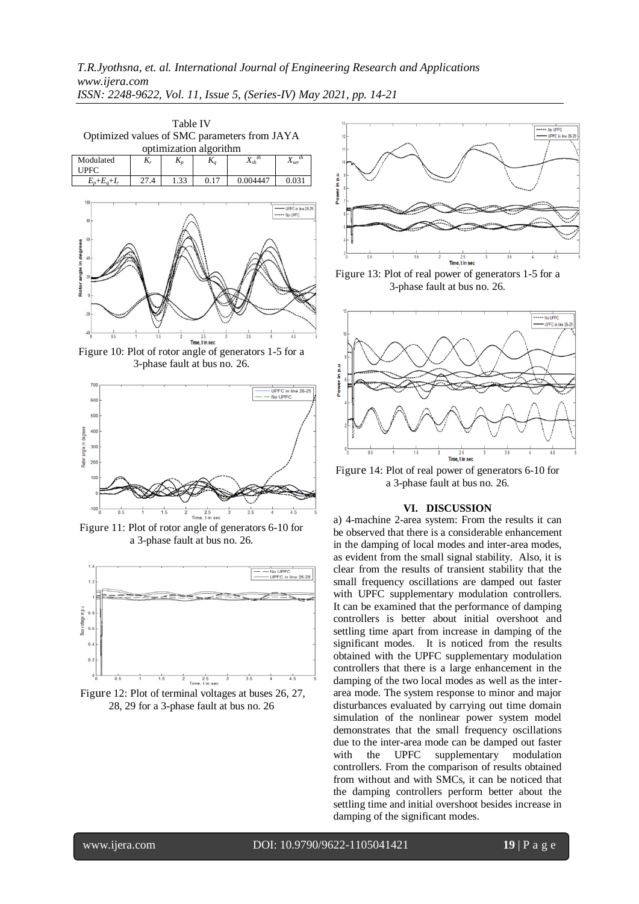| <b>Table IV</b><br>Optimized values of SMC parameters from JAYA<br>optimization algorithm |       |       |       |                             |                                      |  |  |  |  |
|-------------------------------------------------------------------------------------------|-------|-------|-------|-----------------------------|--------------------------------------|--|--|--|--|
| Modulated<br><b>UPFC</b>                                                                  | $K_r$ | $K_p$ | $K_a$ | $X_{sh}^{\hspace{0.5mm}th}$ | th<br>$X_{ser}$                      |  |  |  |  |
| $E_p + E_q + I_r$                                                                         | 27.4  | 1.33  | 0.17  | 0.004447                    | 0.031                                |  |  |  |  |
| 100<br>$80 -$<br>60<br>in degrees<br>40                                                   |       |       |       |                             | LIPEC in line 26-29<br>----- No UPFC |  |  |  |  |

Time, t in sec

Figure 10: Plot of rotor angle of generators 1-5 for a 3-phase fault at bus no. 26.



Figure 11: Plot of rotor angle of generators 6-10 for a 3-phase fault at bus no. 26.



Figure 12: Plot of terminal voltages at buses 26, 27, 28, 29 for a 3-phase fault at bus no. 26



Figure 13: Plot of real power of generators 1-5 for a 3-phase fault at bus no. 26.



Figure 14: Plot of real power of generators 6-10 for a 3-phase fault at bus no. 26.

#### **VI. DISCUSSION**

a) 4-machine 2-area system: From the results it can be observed that there is a considerable enhancement in the damping of local modes and inter-area modes, as evident from the small signal stability. Also, it is clear from the results of transient stability that the small frequency oscillations are damped out faster with UPFC supplementary modulation controllers. It can be examined that the performance of damping controllers is better about initial overshoot and settling time apart from increase in damping of the significant modes. It is noticed from the results obtained with the UPFC supplementary modulation controllers that there is a large enhancement in the damping of the two local modes as well as the interarea mode. The system response to minor and major disturbances evaluated by carrying out time domain simulation of the nonlinear power system model demonstrates that the small frequency oscillations due to the inter-area mode can be damped out faster with the UPFC supplementary modulation controllers. From the comparison of results obtained from without and with SMCs, it can be noticed that the damping controllers perform better about the settling time and initial overshoot besides increase in damping of the significant modes.

www.ijera.com DOI: 10.9790/9622-1105041421 **19** | P a g e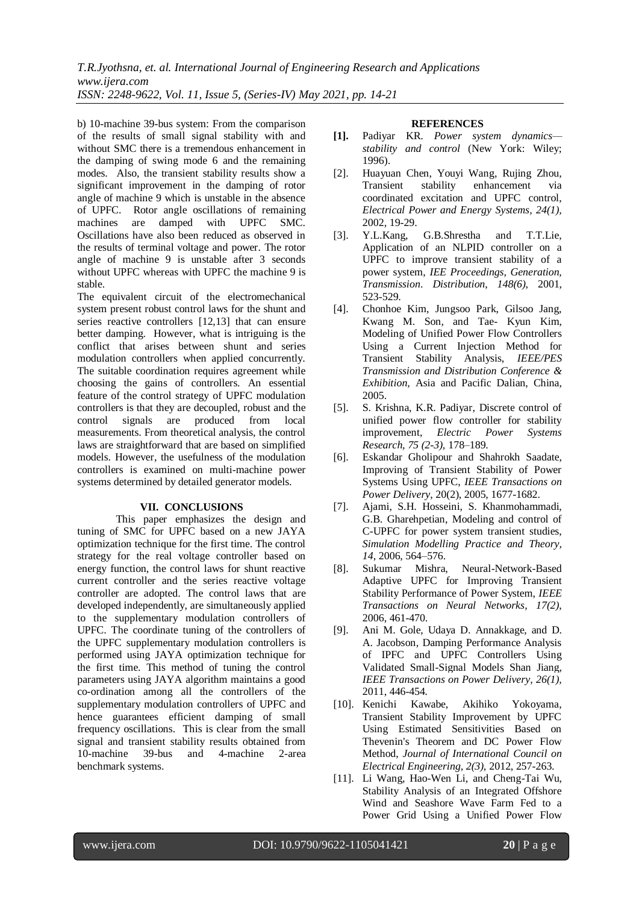b) 10-machine 39-bus system: From the comparison of the results of small signal stability with and without SMC there is a tremendous enhancement in the damping of swing mode 6 and the remaining modes. Also, the transient stability results show a significant improvement in the damping of rotor angle of machine 9 which is unstable in the absence of UPFC. Rotor angle oscillations of remaining machines are damped with UPFC SMC. Oscillations have also been reduced as observed in the results of terminal voltage and power. The rotor angle of machine 9 is unstable after 3 seconds without UPFC whereas with UPFC the machine 9 is stable.

The equivalent circuit of the electromechanical system present robust control laws for the shunt and series reactive controllers [12,13] that can ensure better damping. However, what is intriguing is the conflict that arises between shunt and series modulation controllers when applied concurrently. The suitable coordination requires agreement while choosing the gains of controllers. An essential feature of the control strategy of UPFC modulation controllers is that they are decoupled, robust and the control signals are produced from local measurements. From theoretical analysis, the control laws are straightforward that are based on simplified models. However, the usefulness of the modulation controllers is examined on multi-machine power systems determined by detailed generator models.

### **VII. CONCLUSIONS**

This paper emphasizes the design and tuning of SMC for UPFC based on a new JAYA optimization technique for the first time. The control strategy for the real voltage controller based on energy function, the control laws for shunt reactive current controller and the series reactive voltage controller are adopted. The control laws that are developed independently, are simultaneously applied to the supplementary modulation controllers of UPFC. The coordinate tuning of the controllers of the UPFC supplementary modulation controllers is performed using JAYA optimization technique for the first time. This method of tuning the control parameters using JAYA algorithm maintains a good co-ordination among all the controllers of the supplementary modulation controllers of UPFC and hence guarantees efficient damping of small frequency oscillations. This is clear from the small signal and transient stability results obtained from 10-machine 39-bus and 4-machine 2-area benchmark systems.

#### **REFERENCES**

- **[1].** Padiyar KR. *Power system dynamics stability and control* (New York: Wiley; 1996).
- [2]. Huayuan Chen, Youyi Wang, Rujing Zhou, Transient stability enhancement via coordinated excitation and UPFC control, *Electrical Power and Energy Systems, 24(1),* 2002, 19-29.
- [3]. Y.L.Kang, G.B.Shrestha and T.T.Lie, Application of an NLPID controller on a UPFC to improve transient stability of a power system, *IEE Proceedings, Generation, Transmission*. *Distribution*, *148(6)*, 2001, 523-529.
- [4]. Chonhoe Kim, Jungsoo Park, Gilsoo Jang, Kwang M. Son, and Tae- Kyun Kim, Modeling of Unified Power Flow Controllers Using a Current Injection Method for Transient Stability Analysis, *IEEE/PES Transmission and Distribution Conference & Exhibition,* Asia and Pacific Dalian, China, 2005.
- [5]. S. Krishna, K.R. Padiyar, Discrete control of unified power flow controller for stability improvement, *Electric Power Systems Research, 75 (2-3),* 178–189.
- [6]. Eskandar Gholipour and Shahrokh Saadate, Improving of Transient Stability of Power Systems Using UPFC, *IEEE Transactions on Power Delivery*, 20(2), 2005, 1677-1682.
- [7]. Ajami, S.H. Hosseini, S. Khanmohammadi, G.B. Gharehpetian, Modeling and control of C-UPFC for power system transient studies, *Simulation Modelling Practice and Theory, 14*, 2006, 564–576.
- [8]. Sukumar Mishra, Neural-Network-Based Adaptive UPFC for Improving Transient Stability Performance of Power System, *IEEE Transactions on Neural Networks*, *17(2)*, 2006, 461-470.
- [9]. Ani M. Gole, Udaya D. Annakkage, and D. A. Jacobson, Damping Performance Analysis of IPFC and UPFC Controllers Using Validated Small-Signal Models Shan Jiang, *[IEEE Transactions on Power Delivery,](https://ieeexplore.ieee.org/xpl/RecentIssue.jsp?punumber=61) 26(1),*  2011, 446-454*.*
- [10]. Kenichi Kawabe, Akihiko Yokoyama, Transient Stability Improvement by UPFC Using Estimated Sensitivities Based on Thevenin's Theorem and DC Power Flow Method, *Journal of International Council on Electrical Engineering, 2(3),* 2012, 257-263.
- [11]. Li Wang, Hao-Wen Li, and Cheng-Tai Wu, Stability Analysis of an Integrated Offshore Wind and Seashore Wave Farm Fed to a Power Grid Using a Unified Power Flow